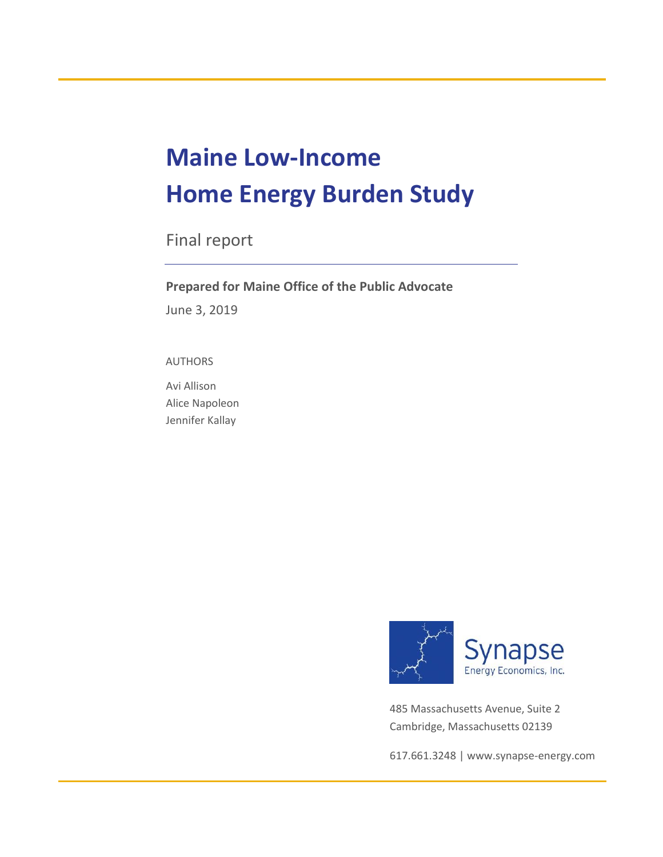# **Maine Low-Income Home Energy Burden Study**

Final report

**Prepared for Maine Office of the Public Advocate**

June 3, 2019

AUTHORS

Avi Allison Alice Napoleon Jennifer Kallay



485 Massachusetts Avenue, Suite 2 Cambridge, Massachusetts 02139

617.661.3248 [| www.synapse-energy.com](http://www.synapse-energy.com/)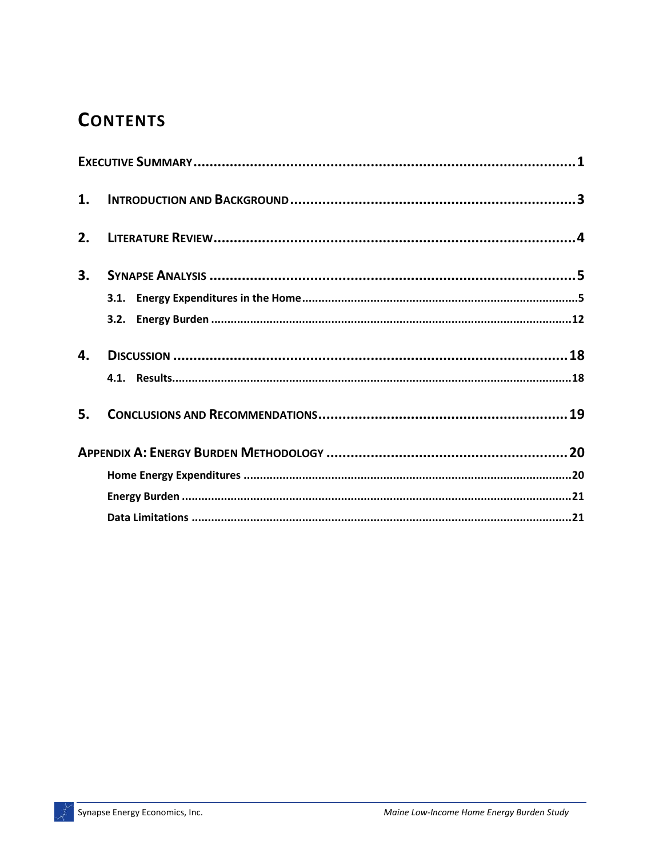## **CONTENTS**

| 2. |  |
|----|--|
| 3. |  |
|    |  |
|    |  |
| 4. |  |
|    |  |
| 5. |  |
|    |  |
|    |  |
|    |  |
|    |  |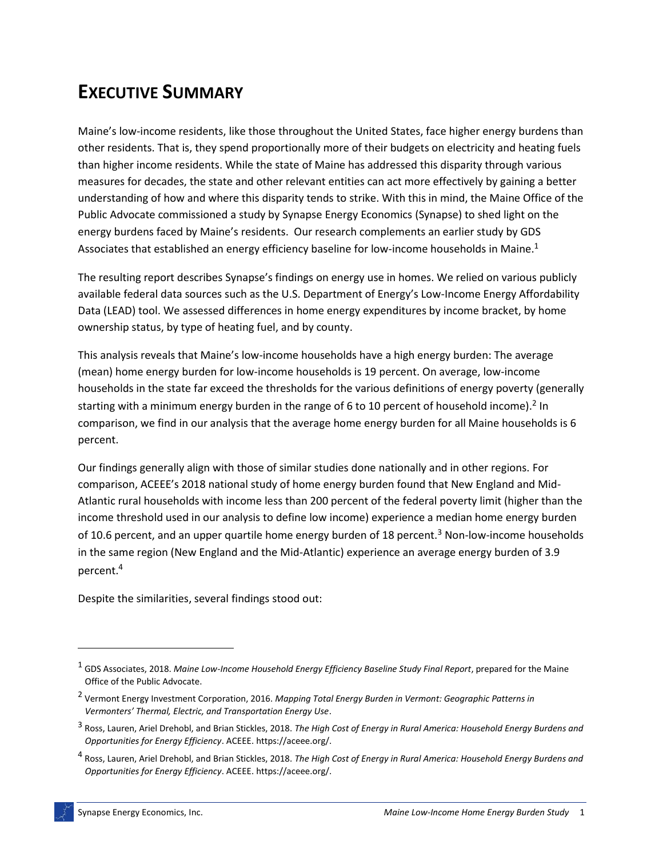## **EXECUTIVE SUMMARY**

Maine's low-income residents, like those throughout the United States, face higher energy burdens than other residents. That is, they spend proportionally more of their budgets on electricity and heating fuels than higher income residents. While the state of Maine has addressed this disparity through various measures for decades, the state and other relevant entities can act more effectively by gaining a better understanding of how and where this disparity tends to strike. With this in mind, the Maine Office of the Public Advocate commissioned a study by Synapse Energy Economics (Synapse) to shed light on the energy burdens faced by Maine's residents. Our research complements an earlier study by GDS Associates that established an energy efficiency baseline for low-income households in Maine.<sup>1</sup>

The resulting report describes Synapse's findings on energy use in homes. We relied on various publicly available federal data sources such as the U.S. Department of Energy's Low-Income Energy Affordability Data (LEAD) tool. We assessed differences in home energy expenditures by income bracket, by home ownership status, by type of heating fuel, and by county.

This analysis reveals that Maine's low-income households have a high energy burden: The average (mean) home energy burden for low-income households is 19 percent. On average, low-income households in the state far exceed the thresholds for the various definitions of energy poverty (generally starting with a minimum energy burden in the range of 6 to 10 percent of household income).<sup>2</sup> In comparison, we find in our analysis that the average home energy burden for all Maine households is 6 percent.

Our findings generally align with those of similar studies done nationally and in other regions. For comparison, ACEEE's 2018 national study of home energy burden found that New England and Mid-Atlantic rural households with income less than 200 percent of the federal poverty limit (higher than the income threshold used in our analysis to define low income) experience a median home energy burden of 10.6 percent, and an upper quartile home energy burden of 18 percent.<sup>3</sup> Non-low-income households in the same region (New England and the Mid-Atlantic) experience an average energy burden of 3.9 percent.<sup>4</sup>

Despite the similarities, several findings stood out:

l

<sup>1</sup> GDS Associates, 2018. *Maine Low-Income Household Energy Efficiency Baseline Study Final Report*, prepared for the Maine Office of the Public Advocate.

<sup>2</sup> Vermont Energy Investment Corporation, 2016. *Mapping Total Energy Burden in Vermont: Geographic Patterns in Vermonters' Thermal, Electric, and Transportation Energy Use*.

<sup>3</sup> Ross, Lauren, Ariel Drehobl, and Brian Stickles, 2018. *The High Cost of Energy in Rural America: Household Energy Burdens and Opportunities for Energy Efficiency*. ACEEE. https://aceee.org/.

<sup>4</sup> Ross, Lauren, Ariel Drehobl, and Brian Stickles, 2018. *The High Cost of Energy in Rural America: Household Energy Burdens and Opportunities for Energy Efficiency*. ACEEE. https://aceee.org/.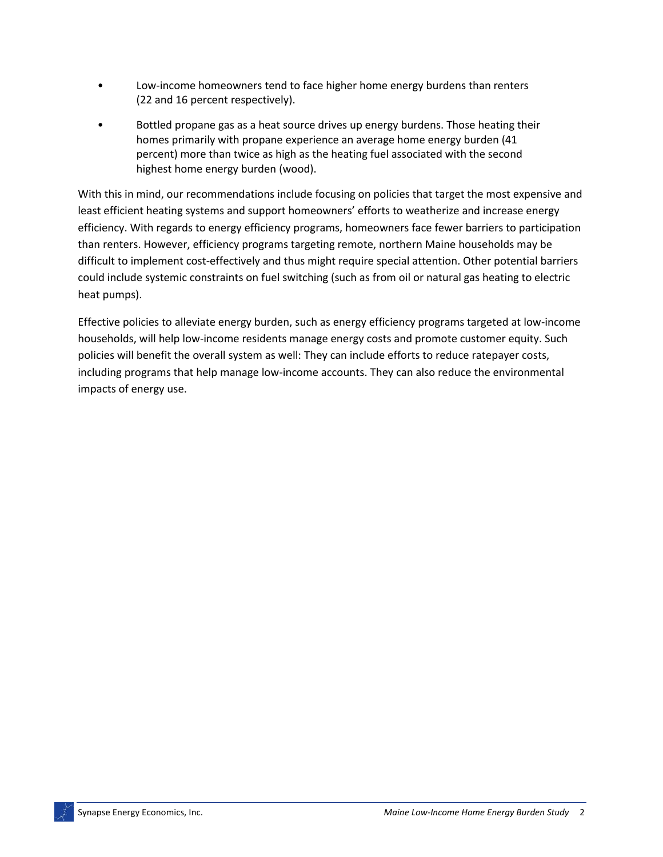- Low-income homeowners tend to face higher home energy burdens than renters (22 and 16 percent respectively).
- Bottled propane gas as a heat source drives up energy burdens. Those heating their homes primarily with propane experience an average home energy burden (41 percent) more than twice as high as the heating fuel associated with the second highest home energy burden (wood).

With this in mind, our recommendations include focusing on policies that target the most expensive and least efficient heating systems and support homeowners' efforts to weatherize and increase energy efficiency. With regards to energy efficiency programs, homeowners face fewer barriers to participation than renters. However, efficiency programs targeting remote, northern Maine households may be difficult to implement cost-effectively and thus might require special attention. Other potential barriers could include systemic constraints on fuel switching (such as from oil or natural gas heating to electric heat pumps).

Effective policies to alleviate energy burden, such as energy efficiency programs targeted at low-income households, will help low-income residents manage energy costs and promote customer equity. Such policies will benefit the overall system as well: They can include efforts to reduce ratepayer costs, including programs that help manage low-income accounts. They can also reduce the environmental impacts of energy use.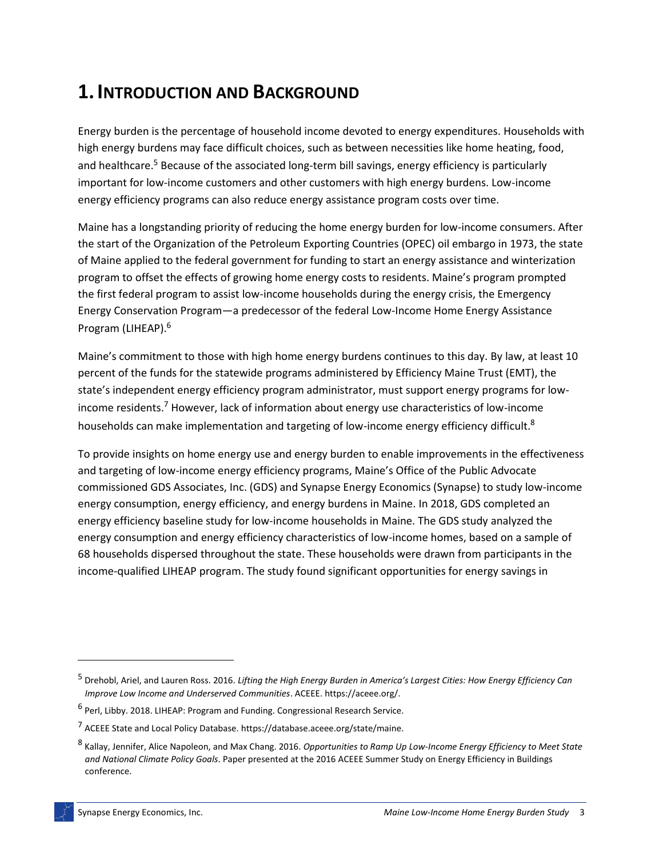## **1.INTRODUCTION AND BACKGROUND**

Energy burden is the percentage of household income devoted to energy expenditures. Households with high energy burdens may face difficult choices, such as between necessities like home heating, food, and healthcare.<sup>5</sup> Because of the associated long-term bill savings, energy efficiency is particularly important for low-income customers and other customers with high energy burdens. Low-income energy efficiency programs can also reduce energy assistance program costs over time.

Maine has a longstanding priority of reducing the home energy burden for low-income consumers. After the start of the Organization of the Petroleum Exporting Countries (OPEC) oil embargo in 1973, the state of Maine applied to the federal government for funding to start an energy assistance and winterization program to offset the effects of growing home energy costs to residents. Maine's program prompted the first federal program to assist low-income households during the energy crisis, the Emergency Energy Conservation Program—a predecessor of the federal Low-Income Home Energy Assistance Program (LIHEAP).<sup>6</sup>

Maine's commitment to those with high home energy burdens continues to this day. By law, at least 10 percent of the funds for the statewide programs administered by Efficiency Maine Trust (EMT), the state's independent energy efficiency program administrator, must support energy programs for lowincome residents.<sup>7</sup> However, lack of information about energy use characteristics of low-income households can make implementation and targeting of low-income energy efficiency difficult.<sup>8</sup>

To provide insights on home energy use and energy burden to enable improvements in the effectiveness and targeting of low-income energy efficiency programs, Maine's Office of the Public Advocate commissioned GDS Associates, Inc. (GDS) and Synapse Energy Economics (Synapse) to study low-income energy consumption, energy efficiency, and energy burdens in Maine. In 2018, GDS completed an energy efficiency baseline study for low-income households in Maine. The GDS study analyzed the energy consumption and energy efficiency characteristics of low-income homes, based on a sample of 68 households dispersed throughout the state. These households were drawn from participants in the income-qualified LIHEAP program. The study found significant opportunities for energy savings in

 $\overline{\phantom{a}}$ 

<sup>5</sup> Drehobl, Ariel, and Lauren Ross. 2016. *Lifting the High Energy Burden in America's Largest Cities: How Energy Efficiency Can Improve Low Income and Underserved Communities*. ACEEE. https://aceee.org/.

<sup>&</sup>lt;sup>6</sup> Perl, Libby. 2018. LIHEAP: Program and Funding. Congressional Research Service.

<sup>&</sup>lt;sup>7</sup> ACEEE State and Local Policy Database. https://database.aceee.org/state/maine.

<sup>8</sup> Kallay, Jennifer, Alice Napoleon, and Max Chang. 2016. *Opportunities to Ramp Up Low-Income Energy Efficiency to Meet State and National Climate Policy Goals*. Paper presented at the 2016 ACEEE Summer Study on Energy Efficiency in Buildings conference.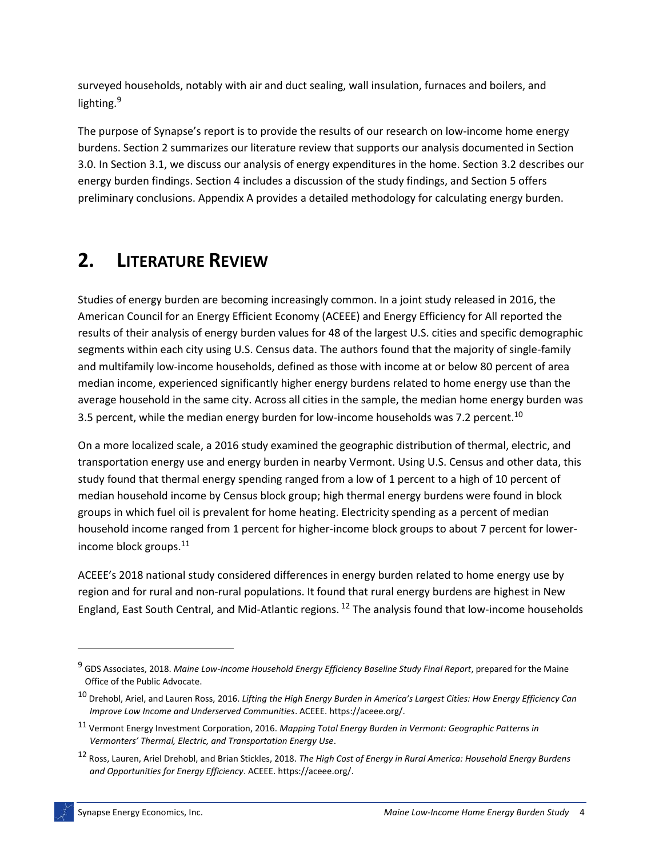surveyed households, notably with air and duct sealing, wall insulation, furnaces and boilers, and lighting.<sup>9</sup>

The purpose of Synapse's report is to provide the results of our research on low-income home energy burdens. Section 2 summarizes our literature review that supports our analysis documented in Section 3.0. In Sectio[n 3.1,](#page-6-0) we discuss our analysis of energy expenditures in the home. Section [3.2](#page-13-0) describes our energy burden findings. Section [4](#page-19-0) includes a discussion of the study findings, and Sectio[n 5](#page-20-0) offers preliminary conclusions. Appendix A provides a detailed methodology for calculating energy burden.

## **2. LITERATURE REVIEW**

Studies of energy burden are becoming increasingly common. In a joint study released in 2016, the American Council for an Energy Efficient Economy (ACEEE) and Energy Efficiency for All reported the results of their analysis of energy burden values for 48 of the largest U.S. cities and specific demographic segments within each city using U.S. Census data. The authors found that the majority of single-family and multifamily low-income households, defined as those with income at or below 80 percent of area median income, experienced significantly higher energy burdens related to home energy use than the average household in the same city. Across all cities in the sample, the median home energy burden was 3.5 percent, while the median energy burden for low-income households was 7.2 percent.<sup>10</sup>

On a more localized scale, a 2016 study examined the geographic distribution of thermal, electric, and transportation energy use and energy burden in nearby Vermont. Using U.S. Census and other data, this study found that thermal energy spending ranged from a low of 1 percent to a high of 10 percent of median household income by Census block group; high thermal energy burdens were found in block groups in which fuel oil is prevalent for home heating. Electricity spending as a percent of median household income ranged from 1 percent for higher-income block groups to about 7 percent for lowerincome block groups. 11

ACEEE's 2018 national study considered differences in energy burden related to home energy use by region and for rural and non-rural populations. It found that rural energy burdens are highest in New England, East South Central, and Mid-Atlantic regions. <sup>12</sup> The analysis found that low-income households

l

<sup>9</sup> GDS Associates, 2018. *Maine Low-Income Household Energy Efficiency Baseline Study Final Report*, prepared for the Maine Office of the Public Advocate.

<sup>10</sup> Drehobl, Ariel, and Lauren Ross, 2016. *Lifting the High Energy Burden in America's Largest Cities: How Energy Efficiency Can Improve Low Income and Underserved Communities*. ACEEE. https://aceee.org/.

<sup>11</sup> Vermont Energy Investment Corporation, 2016. *Mapping Total Energy Burden in Vermont: Geographic Patterns in Vermonters' Thermal, Electric, and Transportation Energy Use*.

<sup>12</sup> Ross, Lauren, Ariel Drehobl, and Brian Stickles, 2018. *The High Cost of Energy in Rural America: Household Energy Burdens and Opportunities for Energy Efficiency*. ACEEE. https://aceee.org/.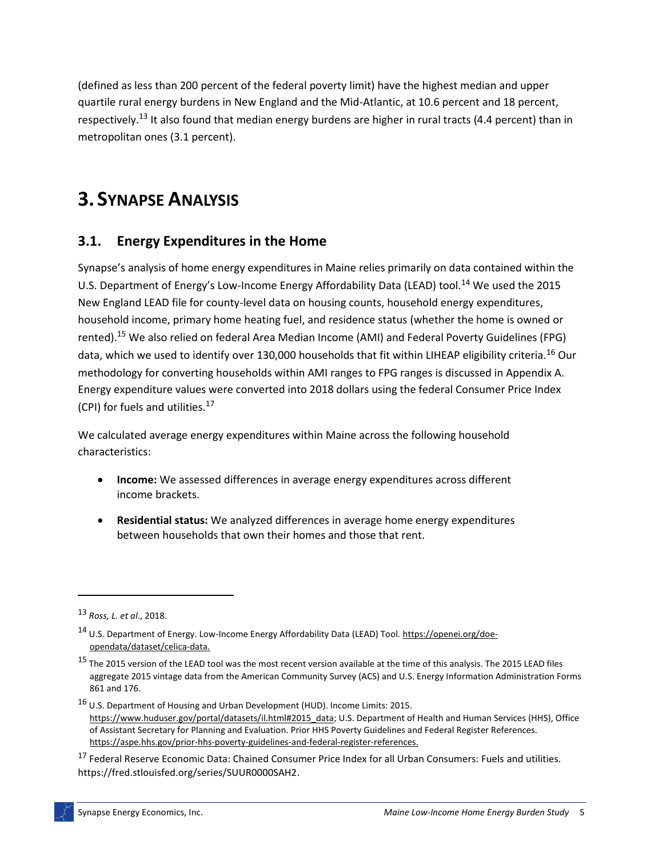(defined as less than 200 percent of the federal poverty limit) have the highest median and upper quartile rural energy burdens in New England and the Mid-Atlantic, at 10.6 percent and 18 percent, respectively.<sup>13</sup> It also found that median energy burdens are higher in rural tracts (4.4 percent) than in metropolitan ones (3.1 percent).

## **3. SYNAPSE ANALYSIS**

## <span id="page-6-0"></span>**3.1. Energy Expenditures in the Home**

Synapse's analysis of home energy expenditures in Maine relies primarily on data contained within the U.S. Department of Energy's Low-Income Energy Affordability Data (LEAD) tool.<sup>14</sup> We used the 2015 New England LEAD file for county-level data on housing counts, household energy expenditures, household income, primary home heating fuel, and residence status (whether the home is owned or rented).<sup>15</sup> We also relied on federal Area Median Income (AMI) and Federal Poverty Guidelines (FPG) data, which we used to identify over 130,000 households that fit within LIHEAP eligibility criteria.<sup>16</sup> Our methodology for converting households within AMI ranges to FPG ranges is discussed in Appendix A. Energy expenditure values were converted into 2018 dollars using the federal Consumer Price Index (CPI) for fuels and utilities.<sup>17</sup>

We calculated average energy expenditures within Maine across the following household characteristics:

- **Income:** We assessed differences in average energy expenditures across different income brackets.
- **Residential status:** We analyzed differences in average home energy expenditures between households that own their homes and those that rent.

 $\overline{a}$ 

<sup>13</sup> *Ross, L. et al*., 2018.

<sup>14</sup> U.S. Department of Energy. Low-Income Energy Affordability Data (LEAD) Tool. [https://openei.org/doe](https://openei.org/doe-opendata/dataset/celica-data)[opendata/dataset/celica-data.](https://openei.org/doe-opendata/dataset/celica-data)

<sup>&</sup>lt;sup>15</sup> The 2015 version of the LEAD tool was the most recent version available at the time of this analysis. The 2015 LEAD files aggregate 2015 vintage data from the American Community Survey (ACS) and U.S. Energy Information Administration Forms 861 and 176.

<sup>16</sup> U.S. Department of Housing and Urban Development (HUD). Income Limits: 2015. [https://www.huduser.gov/portal/datasets/il.html#2015\\_data;](https://www.huduser.gov/portal/datasets/il.html#2015_data) U.S. Department of Health and Human Services (HHS), Office of Assistant Secretary for Planning and Evaluation. Prior HHS Poverty Guidelines and Federal Register References. [https://aspe.hhs.gov/prior-hhs-poverty-guidelines-and-federal-register-references.](https://aspe.hhs.gov/prior-hhs-poverty-guidelines-and-federal-register-references)

<sup>&</sup>lt;sup>17</sup> Federal Reserve Economic Data: Chained Consumer Price Index for all Urban Consumers: Fuels and utilities. https://fred.stlouisfed.org/series/SUUR0000SAH2.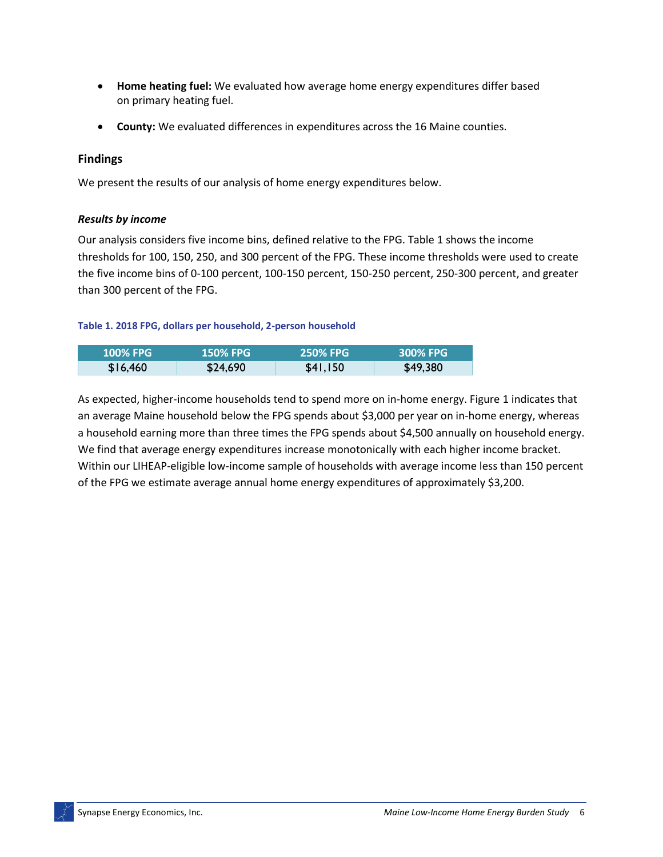- **Home heating fuel:** We evaluated how average home energy expenditures differ based on primary heating fuel.
- **County:** We evaluated differences in expenditures across the 16 Maine counties.

### **Findings**

We present the results of our analysis of home energy expenditures below.

### *Results by income*

Our analysis considers five income bins, defined relative to the FPG. Table 1 shows the income thresholds for 100, 150, 250, and 300 percent of the FPG. These income thresholds were used to create the five income bins of 0-100 percent, 100-150 percent, 150-250 percent, 250-300 percent, and greater than 300 percent of the FPG.

### **Table 1. 2018 FPG, dollars per household, 2-person household**

| /100% FPG | /150% FPG | '250% FPG. | ' 300% FPG . |
|-----------|-----------|------------|--------------|
| \$16,460  | \$24,690  | \$41,150   | \$49,380     |

As expected, higher-income households tend to spend more on in-home energy. [Figure 1](#page-8-0) indicates that an average Maine household below the FPG spends about \$3,000 per year on in-home energy, whereas a household earning more than three times the FPG spends about \$4,500 annually on household energy. We find that average energy expenditures increase monotonically with each higher income bracket. Within our LIHEAP-eligible low-income sample of households with average income less than 150 percent of the FPG we estimate average annual home energy expenditures of approximately \$3,200.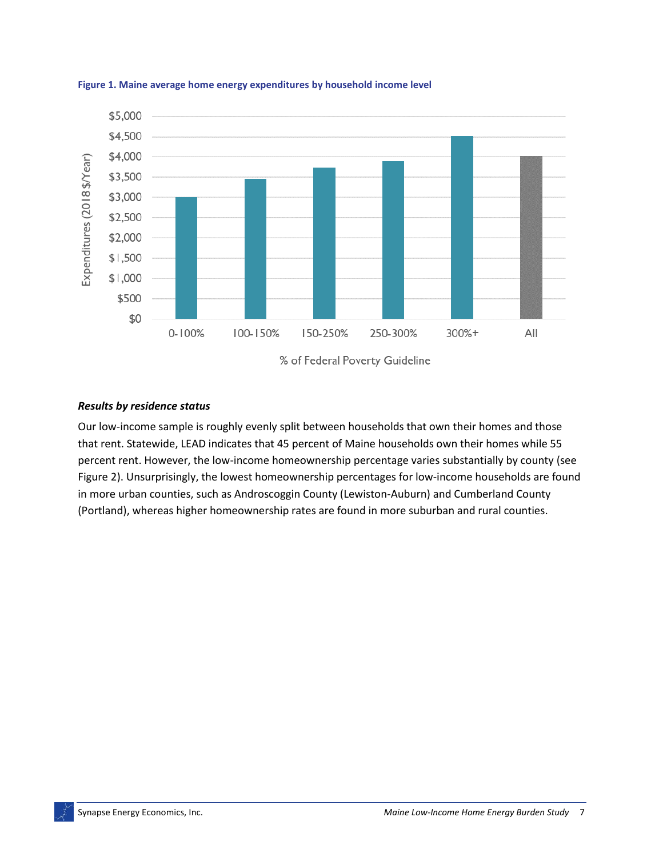

<span id="page-8-0"></span>**Figure 1. Maine average home energy expenditures by household income level**

### *Results by residence status*

Our low-income sample is roughly evenly split between households that own their homes and those that rent. Statewide, LEAD indicates that 45 percent of Maine households own their homes while 55 percent rent. However, the low-income homeownership percentage varies substantially by county (see [Figure 2\)](#page-9-0). Unsurprisingly, the lowest homeownership percentages for low-income households are found in more urban counties, such as Androscoggin County (Lewiston-Auburn) and Cumberland County (Portland), whereas higher homeownership rates are found in more suburban and rural counties.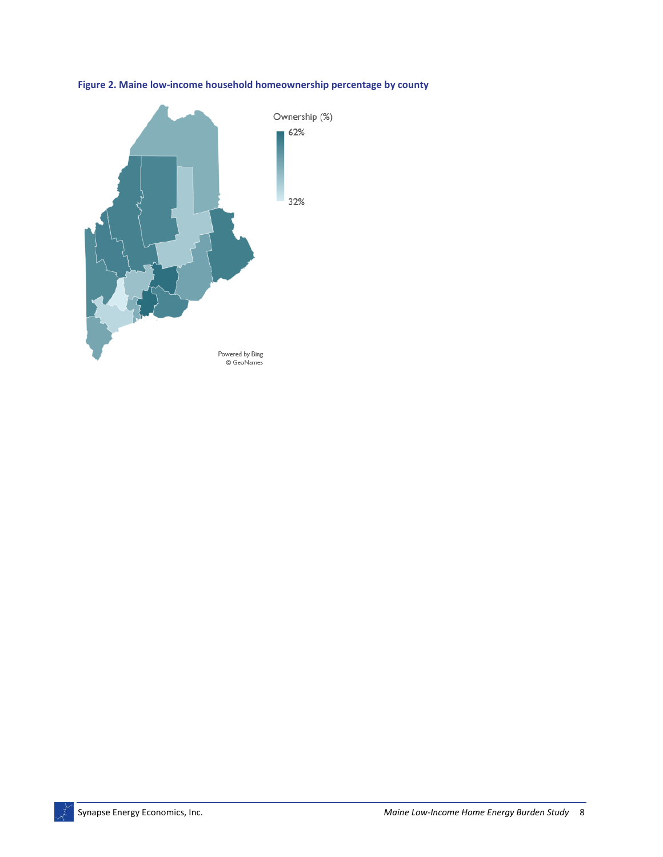

<span id="page-9-0"></span>**Figure 2. Maine low-income household homeownership percentage by county**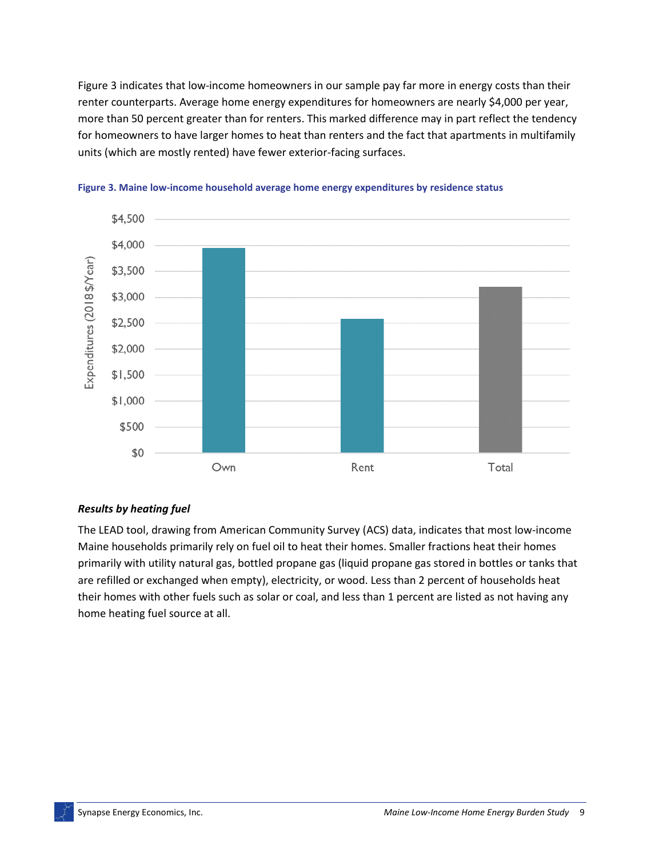[Figure 3](#page-10-0) indicates that low-income homeowners in our sample pay far more in energy costs than their renter counterparts. Average home energy expenditures for homeowners are nearly \$4,000 per year, more than 50 percent greater than for renters. This marked difference may in part reflect the tendency for homeowners to have larger homes to heat than renters and the fact that apartments in multifamily units (which are mostly rented) have fewer exterior-facing surfaces.



<span id="page-10-0"></span>

### *Results by heating fuel*

The LEAD tool, drawing from American Community Survey (ACS) data, indicates that most low-income Maine households primarily rely on fuel oil to heat their homes. Smaller fractions heat their homes primarily with utility natural gas, bottled propane gas (liquid propane gas stored in bottles or tanks that are refilled or exchanged when empty), electricity, or wood. Less than 2 percent of households heat their homes with other fuels such as solar or coal, and less than 1 percent are listed as not having any home heating fuel source at all.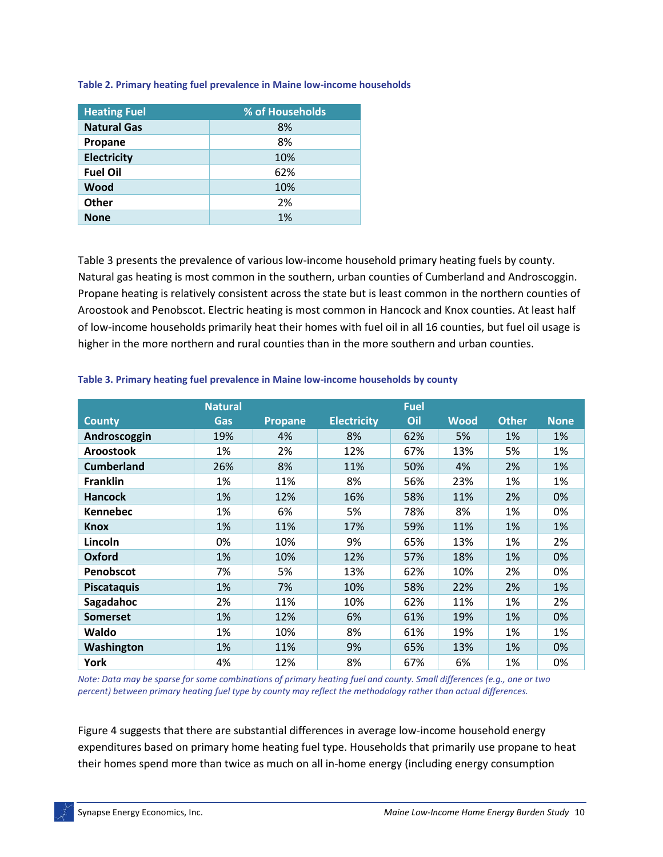#### **Table 2. Primary heating fuel prevalence in Maine low-income households**

| <b>Heating Fuel</b> | % of Households |
|---------------------|-----------------|
| <b>Natural Gas</b>  | 8%              |
| Propane             | 8%              |
| <b>Electricity</b>  | 10%             |
| <b>Fuel Oil</b>     | 62%             |
| Wood                | 10%             |
| <b>Other</b>        | 2%              |
| <b>None</b>         | 1%              |

[Table 3](#page-11-0) presents the prevalence of various low-income household primary heating fuels by county. Natural gas heating is most common in the southern, urban counties of Cumberland and Androscoggin. Propane heating is relatively consistent across the state but is least common in the northern counties of Aroostook and Penobscot. Electric heating is most common in Hancock and Knox counties. At least half of low-income households primarily heat their homes with fuel oil in all 16 counties, but fuel oil usage is higher in the more northern and rural counties than in the more southern and urban counties.

|                    | <b>Natural</b> |                |                    | <b>Fuel</b> |             |              |             |
|--------------------|----------------|----------------|--------------------|-------------|-------------|--------------|-------------|
| <b>County</b>      | Gas            | <b>Propane</b> | <b>Electricity</b> | Oil         | <b>Wood</b> | <b>Other</b> | <b>None</b> |
| Androscoggin       | 19%            | 4%             | 8%                 | 62%         | 5%          | 1%           | 1%          |
| <b>Aroostook</b>   | 1%             | 2%             | 12%                | 67%         | 13%         | 5%           | 1%          |
| <b>Cumberland</b>  | 26%            | 8%             | 11%                | 50%         | 4%          | 2%           | 1%          |
| <b>Franklin</b>    | 1%             | 11%            | 8%                 | 56%         | 23%         | 1%           | 1%          |
| <b>Hancock</b>     | 1%             | 12%            | 16%                | 58%         | 11%         | 2%           | 0%          |
| <b>Kennebec</b>    | 1%             | 6%             | 5%                 | 78%         | 8%          | 1%           | 0%          |
| <b>Knox</b>        | 1%             | 11%            | 17%                | 59%         | 11%         | 1%           | 1%          |
| Lincoln            | 0%             | 10%            | 9%                 | 65%         | 13%         | 1%           | 2%          |
| Oxford             | 1%             | 10%            | 12%                | 57%         | 18%         | 1%           | 0%          |
| Penobscot          | 7%             | 5%             | 13%                | 62%         | 10%         | 2%           | 0%          |
| <b>Piscataquis</b> | 1%             | 7%             | 10%                | 58%         | 22%         | 2%           | 1%          |
| Sagadahoc          | 2%             | 11%            | 10%                | 62%         | 11%         | 1%           | 2%          |
| <b>Somerset</b>    | 1%             | 12%            | 6%                 | 61%         | 19%         | 1%           | 0%          |
| Waldo              | 1%             | 10%            | 8%                 | 61%         | 19%         | 1%           | 1%          |
| Washington         | 1%             | 11%            | 9%                 | 65%         | 13%         | 1%           | 0%          |
| York               | 4%             | 12%            | 8%                 | 67%         | 6%          | 1%           | 0%          |

#### <span id="page-11-0"></span>**Table 3. Primary heating fuel prevalence in Maine low-income households by county**

*Note: Data may be sparse for some combinations of primary heating fuel and county. Small differences (e.g., one or two percent) between primary heating fuel type by county may reflect the methodology rather than actual differences.*

[Figure 4](#page-12-0) suggests that there are substantial differences in average low-income household energy expenditures based on primary home heating fuel type. Households that primarily use propane to heat their homes spend more than twice as much on all in-home energy (including energy consumption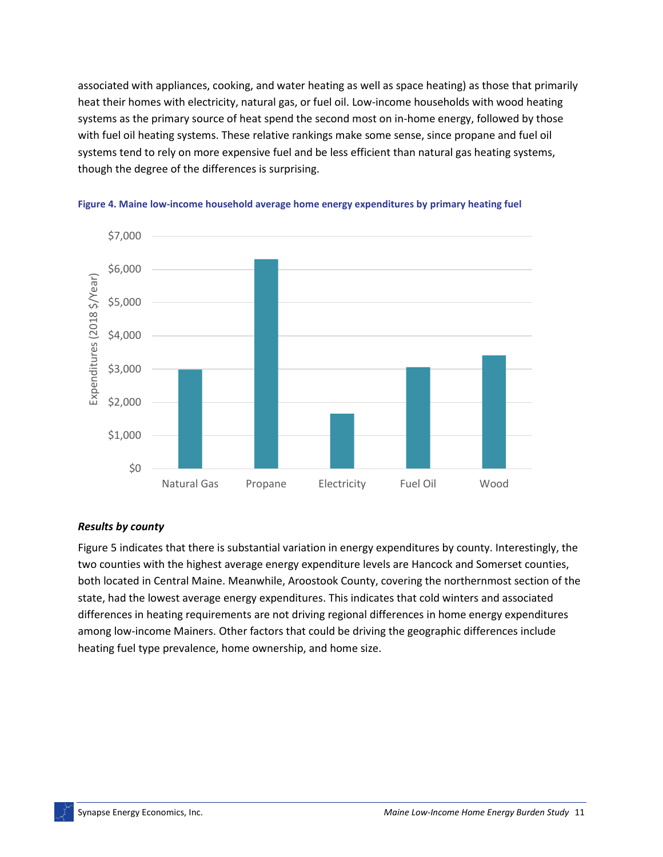associated with appliances, cooking, and water heating as well as space heating) as those that primarily heat their homes with electricity, natural gas, or fuel oil. Low-income households with wood heating systems as the primary source of heat spend the second most on in-home energy, followed by those with fuel oil heating systems. These relative rankings make some sense, since propane and fuel oil systems tend to rely on more expensive fuel and be less efficient than natural gas heating systems, though the degree of the differences is surprising.



<span id="page-12-0"></span>

#### *Results by county*

[Figure 5](#page-13-1) indicates that there is substantial variation in energy expenditures by county. Interestingly, the two counties with the highest average energy expenditure levels are Hancock and Somerset counties, both located in Central Maine. Meanwhile, Aroostook County, covering the northernmost section of the state, had the lowest average energy expenditures. This indicates that cold winters and associated differences in heating requirements are not driving regional differences in home energy expenditures among low-income Mainers. Other factors that could be driving the geographic differences include heating fuel type prevalence, home ownership, and home size.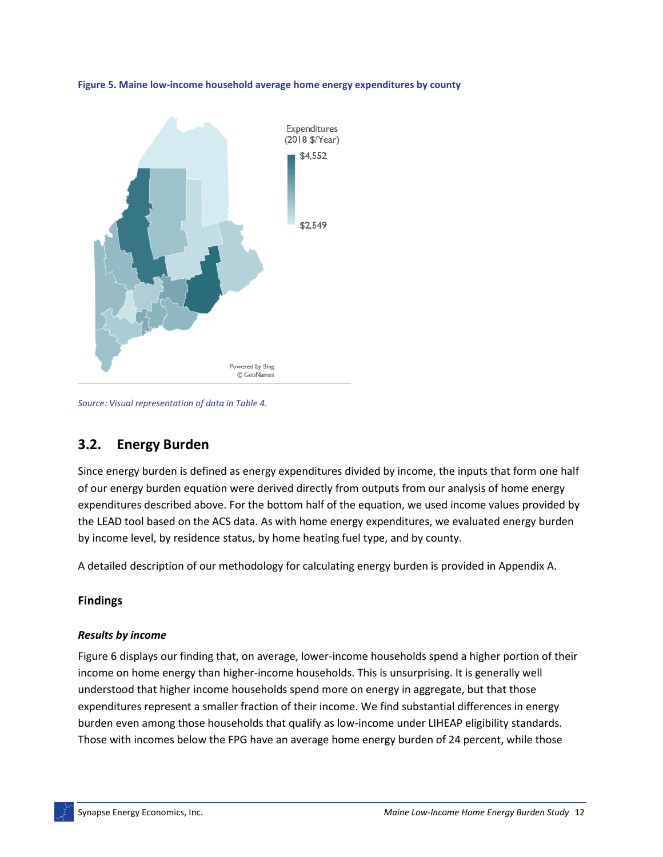<span id="page-13-1"></span>



*Source: Visual representation of data in [Table 4.](#page-19-1)*

## <span id="page-13-0"></span>**3.2. Energy Burden**

Since energy burden is defined as energy expenditures divided by income, the inputs that form one half of our energy burden equation were derived directly from outputs from our analysis of home energy expenditures described above. For the bottom half of the equation, we used income values provided by the LEAD tool based on the ACS data. As with home energy expenditures, we evaluated energy burden by income level, by residence status, by home heating fuel type, and by county.

A detailed description of our methodology for calculating energy burden is provided in Appendix A.

### **Findings**

### *Results by income*

[Figure 6](#page-14-0) displays our finding that, on average, lower-income households spend a higher portion of their income on home energy than higher-income households. This is unsurprising. It is generally well understood that higher income households spend more on energy in aggregate, but that those expenditures represent a smaller fraction of their income. We find substantial differences in energy burden even among those households that qualify as low-income under LIHEAP eligibility standards. Those with incomes below the FPG have an average home energy burden of 24 percent, while those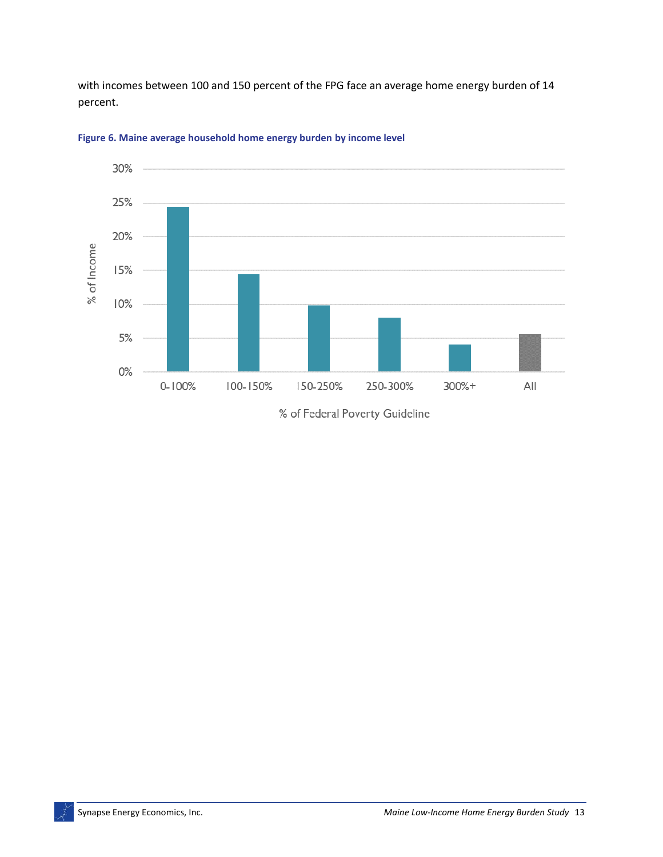with incomes between 100 and 150 percent of the FPG face an average home energy burden of 14 percent.



<span id="page-14-0"></span>

<sup>%</sup> of Federal Poverty Guideline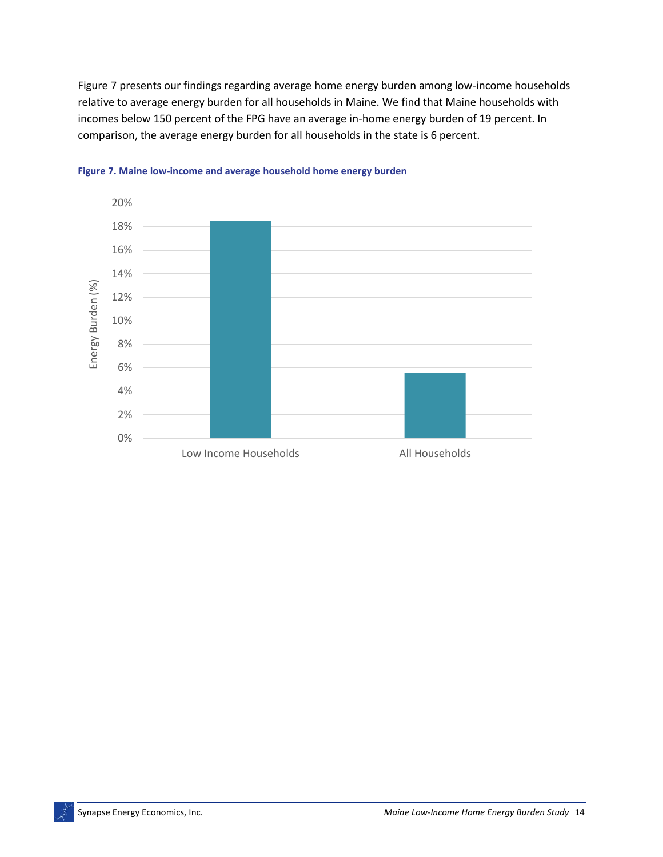[Figure 7](#page-15-0) presents our findings regarding average home energy burden among low-income households relative to average energy burden for all households in Maine. We find that Maine households with incomes below 150 percent of the FPG have an average in-home energy burden of 19 percent. In comparison, the average energy burden for all households in the state is 6 percent.



#### <span id="page-15-0"></span>**Figure 7. Maine low-income and average household home energy burden**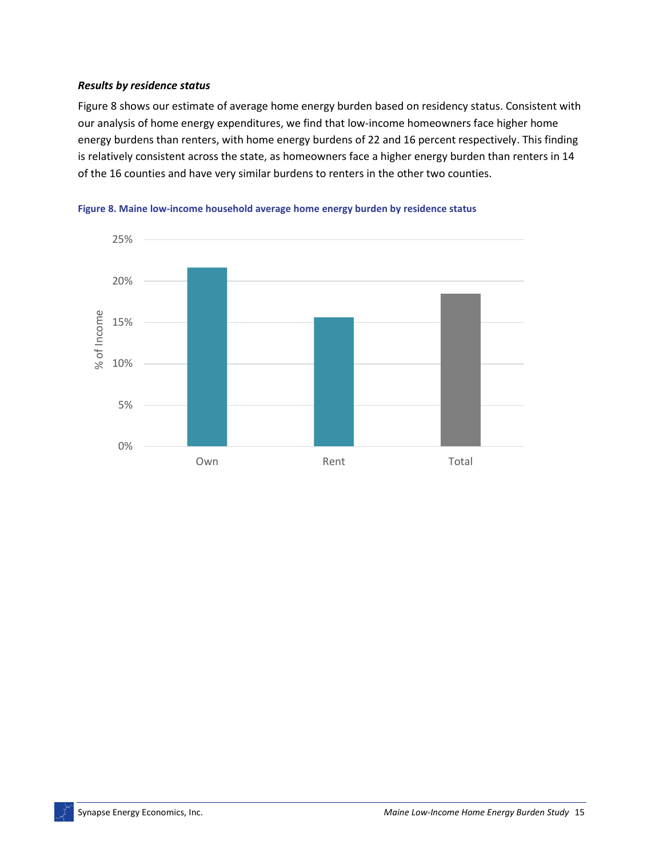### *Results by residence status*

[Figure 8](#page-16-0) shows our estimate of average home energy burden based on residency status. Consistent with our analysis of home energy expenditures, we find that low-income homeowners face higher home energy burdens than renters, with home energy burdens of 22 and 16 percent respectively. This finding is relatively consistent across the state, as homeowners face a higher energy burden than renters in 14 of the 16 counties and have very similar burdens to renters in the other two counties.



<span id="page-16-0"></span>**Figure 8. Maine low-income household average home energy burden by residence status**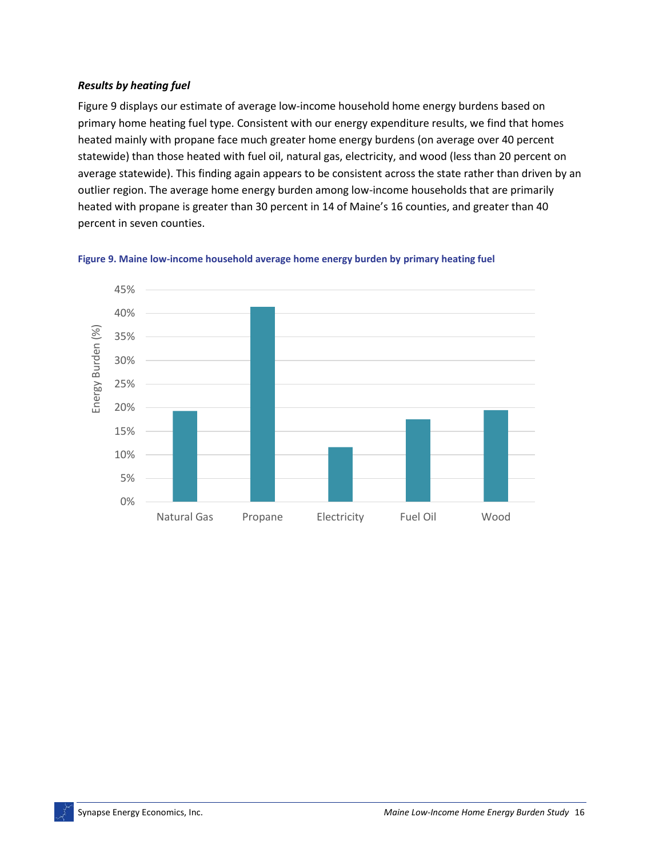### *Results by heating fuel*

[Figure 9](#page-17-0) displays our estimate of average low-income household home energy burdens based on primary home heating fuel type. Consistent with our energy expenditure results, we find that homes heated mainly with propane face much greater home energy burdens (on average over 40 percent statewide) than those heated with fuel oil, natural gas, electricity, and wood (less than 20 percent on average statewide). This finding again appears to be consistent across the state rather than driven by an outlier region. The average home energy burden among low-income households that are primarily heated with propane is greater than 30 percent in 14 of Maine's 16 counties, and greater than 40 percent in seven counties.



<span id="page-17-0"></span>**Figure 9. Maine low-income household average home energy burden by primary heating fuel**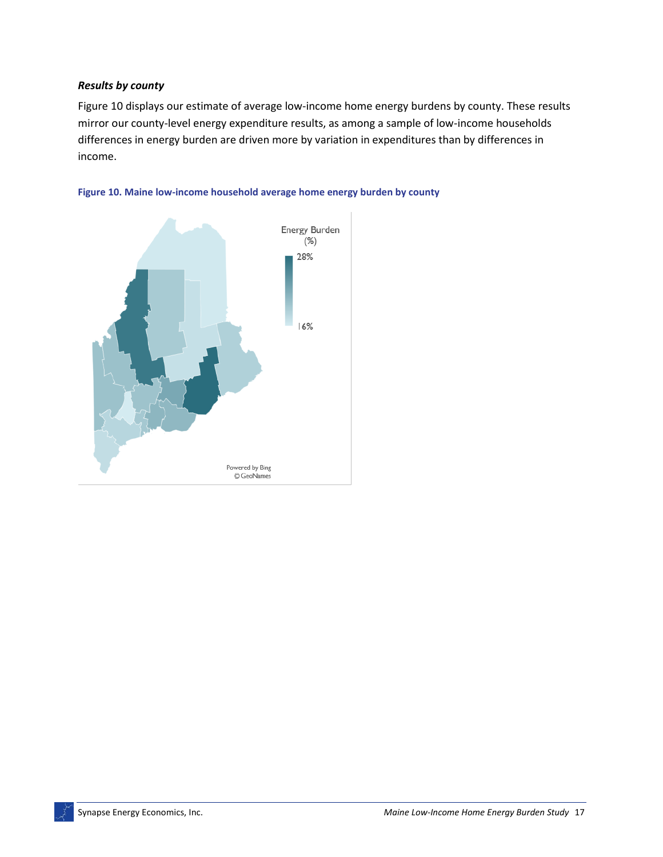### *Results by county*

[Figure 10](#page-18-0) displays our estimate of average low-income home energy burdens by county. These results mirror our county-level energy expenditure results, as among a sample of low-income households differences in energy burden are driven more by variation in expenditures than by differences in income.



<span id="page-18-0"></span>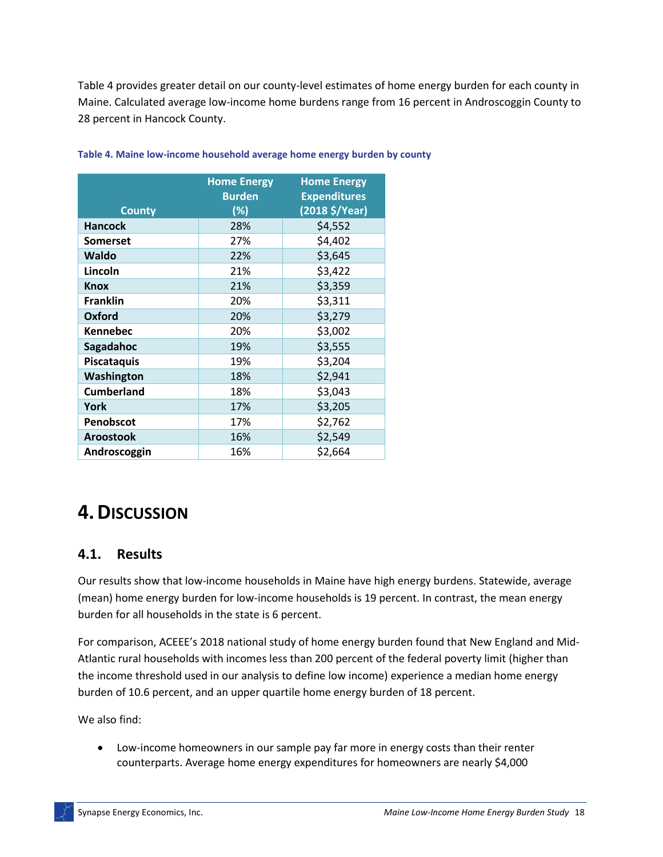[Table 4](#page-19-1) provides greater detail on our county-level estimates of home energy burden for each county in Maine. Calculated average low-income home burdens range from 16 percent in Androscoggin County to 28 percent in Hancock County.

| <b>County</b>      | <b>Home Energy</b><br><b>Burden</b><br>(%) | <b>Home Energy</b><br><b>Expenditures</b><br>(2018 \$/Year) |  |  |
|--------------------|--------------------------------------------|-------------------------------------------------------------|--|--|
| <b>Hancock</b>     | 28%                                        | \$4,552                                                     |  |  |
|                    |                                            |                                                             |  |  |
| Somerset           | 27%                                        | \$4,402                                                     |  |  |
| Waldo              | 22%                                        | \$3,645                                                     |  |  |
| Lincoln            | 21%                                        | \$3,422                                                     |  |  |
| <b>Knox</b>        | 21%                                        | \$3,359                                                     |  |  |
| <b>Franklin</b>    | 20%                                        | \$3,311                                                     |  |  |
| <b>Oxford</b>      | 20%                                        | \$3,279                                                     |  |  |
| <b>Kennebec</b>    | 20%                                        | \$3,002                                                     |  |  |
| Sagadahoc          | 19%                                        | \$3,555                                                     |  |  |
| <b>Piscataquis</b> | 19%                                        | \$3,204                                                     |  |  |
| Washington         | 18%                                        | \$2,941                                                     |  |  |
| <b>Cumberland</b>  | 18%                                        | \$3,043                                                     |  |  |
| York               | 17%                                        | \$3,205                                                     |  |  |
| Penobscot          | 17%                                        | \$2,762                                                     |  |  |
| <b>Aroostook</b>   | 16%                                        | \$2,549                                                     |  |  |
| Androscoggin       | 16%                                        | \$2,664                                                     |  |  |

<span id="page-19-1"></span>

|  | Table 4. Maine low-income household average home energy burden by county |  |  |  |  |
|--|--------------------------------------------------------------------------|--|--|--|--|
|  |                                                                          |  |  |  |  |
|  |                                                                          |  |  |  |  |

## <span id="page-19-0"></span>**4.DISCUSSION**

## **4.1. Results**

Our results show that low-income households in Maine have high energy burdens. Statewide, average (mean) home energy burden for low-income households is 19 percent. In contrast, the mean energy burden for all households in the state is 6 percent.

For comparison, ACEEE's 2018 national study of home energy burden found that New England and Mid-Atlantic rural households with incomes less than 200 percent of the federal poverty limit (higher than the income threshold used in our analysis to define low income) experience a median home energy burden of 10.6 percent, and an upper quartile home energy burden of 18 percent.

We also find:

• Low-income homeowners in our sample pay far more in energy costs than their renter counterparts. Average home energy expenditures for homeowners are nearly \$4,000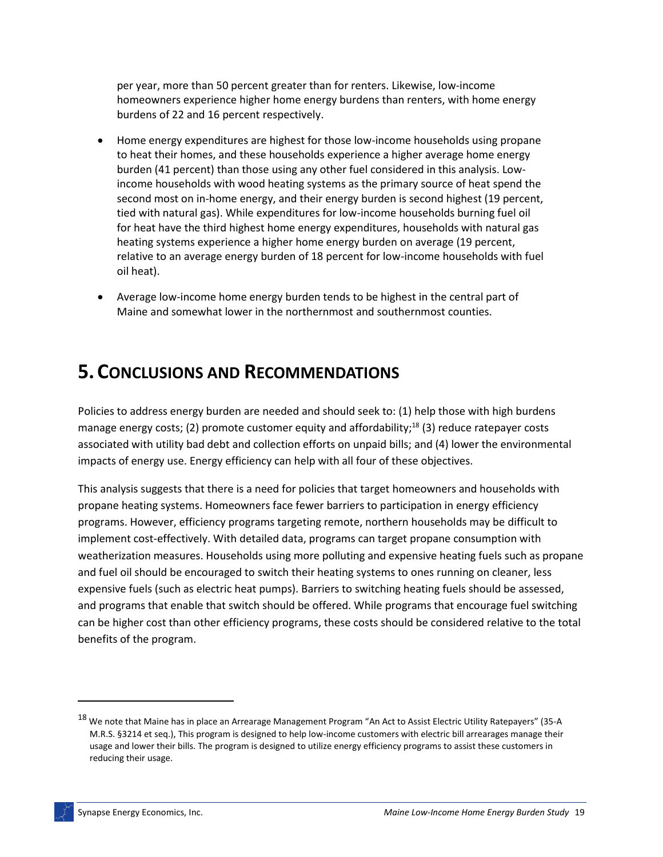per year, more than 50 percent greater than for renters. Likewise, low-income homeowners experience higher home energy burdens than renters, with home energy burdens of 22 and 16 percent respectively.

- Home energy expenditures are highest for those low-income households using propane to heat their homes, and these households experience a higher average home energy burden (41 percent) than those using any other fuel considered in this analysis. Lowincome households with wood heating systems as the primary source of heat spend the second most on in-home energy, and their energy burden is second highest (19 percent, tied with natural gas). While expenditures for low-income households burning fuel oil for heat have the third highest home energy expenditures, households with natural gas heating systems experience a higher home energy burden on average (19 percent, relative to an average energy burden of 18 percent for low-income households with fuel oil heat).
- Average low-income home energy burden tends to be highest in the central part of Maine and somewhat lower in the northernmost and southernmost counties.

## <span id="page-20-0"></span>**5.CONCLUSIONS AND RECOMMENDATIONS**

Policies to address energy burden are needed and should seek to: (1) help those with high burdens manage energy costs; (2) promote customer equity and affordability;<sup>18</sup> (3) reduce ratepayer costs associated with utility bad debt and collection efforts on unpaid bills; and (4) lower the environmental impacts of energy use. Energy efficiency can help with all four of these objectives.

This analysis suggests that there is a need for policies that target homeowners and households with propane heating systems. Homeowners face fewer barriers to participation in energy efficiency programs. However, efficiency programs targeting remote, northern households may be difficult to implement cost-effectively. With detailed data, programs can target propane consumption with weatherization measures. Households using more polluting and expensive heating fuels such as propane and fuel oil should be encouraged to switch their heating systems to ones running on cleaner, less expensive fuels (such as electric heat pumps). Barriers to switching heating fuels should be assessed, and programs that enable that switch should be offered. While programs that encourage fuel switching can be higher cost than other efficiency programs, these costs should be considered relative to the total benefits of the program.

l

<sup>&</sup>lt;sup>18</sup> We note that Maine has in place an Arrearage Management Program "An Act to Assist Electric Utility Ratepayers" (35-A M.R.S. §3214 et seq.), This program is designed to help low-income customers with electric bill arrearages manage their usage and lower their bills. The program is designed to utilize energy efficiency programs to assist these customers in reducing their usage.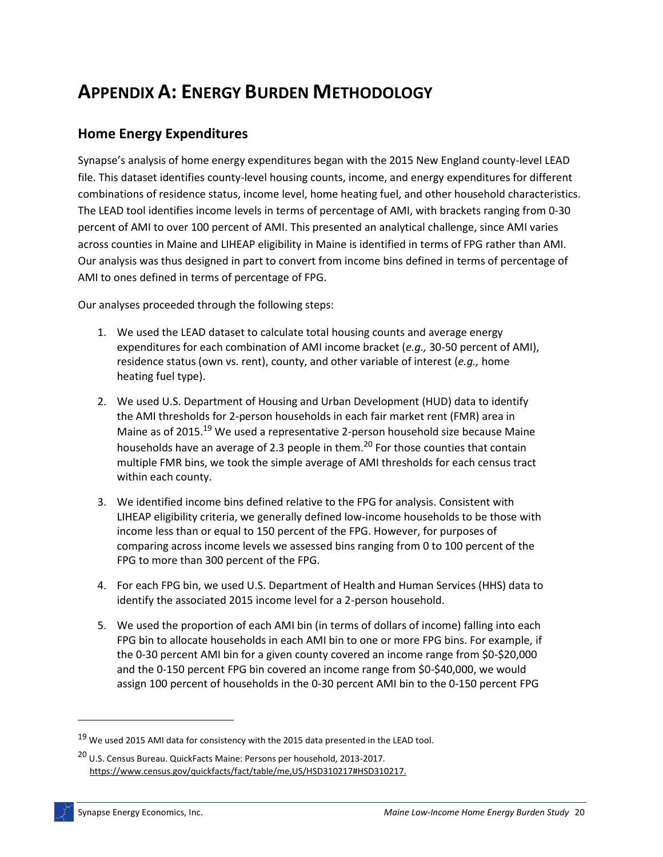## **APPENDIX A: ENERGY BURDEN METHODOLOGY**

## **Home Energy Expenditures**

Synapse's analysis of home energy expenditures began with the 2015 New England county-level LEAD file. This dataset identifies county-level housing counts, income, and energy expenditures for different combinations of residence status, income level, home heating fuel, and other household characteristics. The LEAD tool identifies income levels in terms of percentage of AMI, with brackets ranging from 0-30 percent of AMI to over 100 percent of AMI. This presented an analytical challenge, since AMI varies across counties in Maine and LIHEAP eligibility in Maine is identified in terms of FPG rather than AMI. Our analysis was thus designed in part to convert from income bins defined in terms of percentage of AMI to ones defined in terms of percentage of FPG.

Our analyses proceeded through the following steps:

- 1. We used the LEAD dataset to calculate total housing counts and average energy expenditures for each combination of AMI income bracket (*e.g.,* 30-50 percent of AMI), residence status (own vs. rent), county, and other variable of interest (*e.g.,* home heating fuel type).
- 2. We used U.S. Department of Housing and Urban Development (HUD) data to identify the AMI thresholds for 2-person households in each fair market rent (FMR) area in Maine as of 2015.<sup>19</sup> We used a representative 2-person household size because Maine households have an average of 2.3 people in them.<sup>20</sup> For those counties that contain multiple FMR bins, we took the simple average of AMI thresholds for each census tract within each county.
- 3. We identified income bins defined relative to the FPG for analysis. Consistent with LIHEAP eligibility criteria, we generally defined low-income households to be those with income less than or equal to 150 percent of the FPG. However, for purposes of comparing across income levels we assessed bins ranging from 0 to 100 percent of the FPG to more than 300 percent of the FPG.
- 4. For each FPG bin, we used U.S. Department of Health and Human Services (HHS) data to identify the associated 2015 income level for a 2-person household.
- 5. We used the proportion of each AMI bin (in terms of dollars of income) falling into each FPG bin to allocate households in each AMI bin to one or more FPG bins. For example, if the 0-30 percent AMI bin for a given county covered an income range from \$0-\$20,000 and the 0-150 percent FPG bin covered an income range from \$0-\$40,000, we would assign 100 percent of households in the 0-30 percent AMI bin to the 0-150 percent FPG

 $\overline{a}$ 

<sup>&</sup>lt;sup>19</sup> We used 2015 AMI data for consistency with the 2015 data presented in the LEAD tool.

<sup>20</sup> U.S. Census Bureau. QuickFacts Maine: Persons per household, 2013-2017. [https://www.census.gov/quickfacts/fact/table/me,US/HSD310217#HSD310217.](https://www.census.gov/quickfacts/fact/table/me,US/HSD310217#HSD310217)